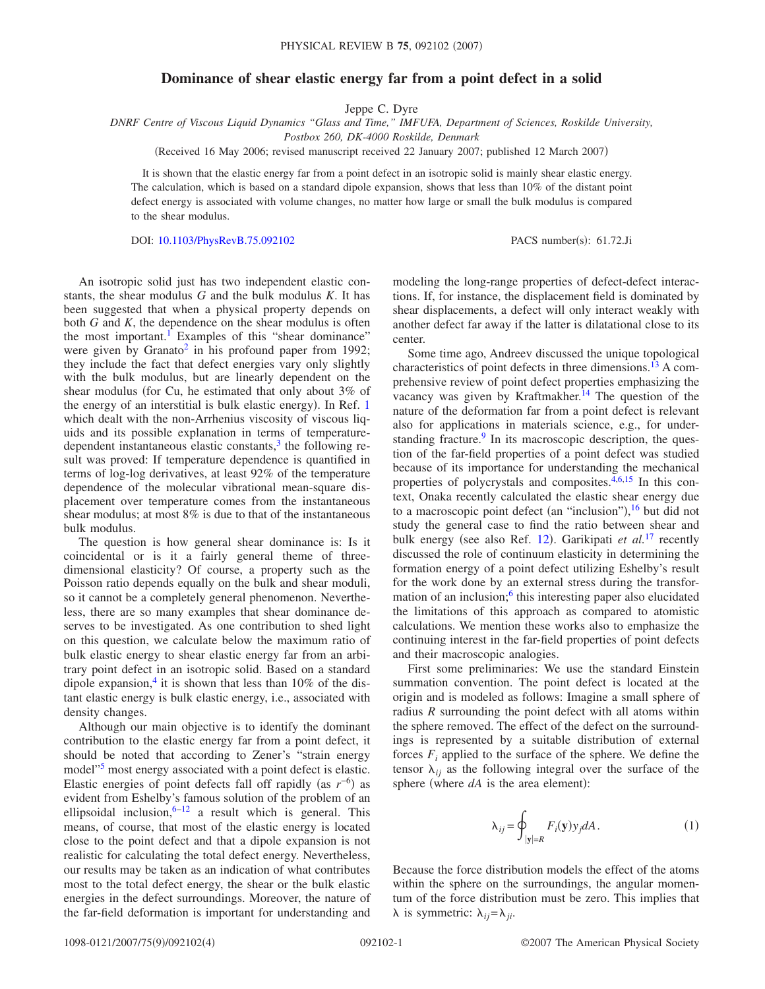## **Dominance of shear elastic energy far from a point defect in a solid**

Jeppe C. Dyre

*DNRF Centre of Viscous Liquid Dynamics "Glass and Time," IMFUFA, Department of Sciences, Roskilde University,*

*Postbox 260, DK-4000 Roskilde, Denmark*

(Received 16 May 2006; revised manuscript received 22 January 2007; published 12 March 2007)

It is shown that the elastic energy far from a point defect in an isotropic solid is mainly shear elastic energy. The calculation, which is based on a standard dipole expansion, shows that less than 10% of the distant point defect energy is associated with volume changes, no matter how large or small the bulk modulus is compared to the shear modulus.

DOI: [10.1103/PhysRevB.75.092102](http://dx.doi.org/10.1103/PhysRevB.75.092102)

PACS number(s):  $61.72$ .Ji

An isotropic solid just has two independent elastic constants, the shear modulus *G* and the bulk modulus *K*. It has been suggested that when a physical property depends on both *G* and *K*, the dependence on the shear modulus is often the most important.<sup>1</sup> Examples of this "shear dominance" were given by Granato<sup>2</sup> in his profound paper from 1992; they include the fact that defect energies vary only slightly with the bulk modulus, but are linearly dependent on the shear modulus (for Cu, he estimated that only about  $3\%$  of the energy of an interstitial is bulk elastic energy). In Ref. [1](#page-3-0) which dealt with the non-Arrhenius viscosity of viscous liquids and its possible explanation in terms of temperaturedependent instantaneous elastic constants, $3$  the following result was proved: If temperature dependence is quantified in terms of log-log derivatives, at least 92% of the temperature dependence of the molecular vibrational mean-square displacement over temperature comes from the instantaneous shear modulus; at most 8% is due to that of the instantaneous bulk modulus.

The question is how general shear dominance is: Is it coincidental or is it a fairly general theme of threedimensional elasticity? Of course, a property such as the Poisson ratio depends equally on the bulk and shear moduli, so it cannot be a completely general phenomenon. Nevertheless, there are so many examples that shear dominance deserves to be investigated. As one contribution to shed light on this question, we calculate below the maximum ratio of bulk elastic energy to shear elastic energy far from an arbitrary point defect in an isotropic solid. Based on a standard dipole expansion,<sup>4</sup> it is shown that less than  $10\%$  of the distant elastic energy is bulk elastic energy, i.e., associated with density changes.

Although our main objective is to identify the dominant contribution to the elastic energy far from a point defect, it should be noted that according to Zener's "strain energy model"<sup>5</sup> most energy associated with a point defect is elastic. Elastic energies of point defects fall off rapidly (as  $r^{-6}$ ) as evident from Eshelby's famous solution of the problem of an ellipsoidal inclusion,  $6-12$  a result which is general. This means, of course, that most of the elastic energy is located close to the point defect and that a dipole expansion is not realistic for calculating the total defect energy. Nevertheless, our results may be taken as an indication of what contributes most to the total defect energy, the shear or the bulk elastic energies in the defect surroundings. Moreover, the nature of the far-field deformation is important for understanding and modeling the long-range properties of defect-defect interactions. If, for instance, the displacement field is dominated by shear displacements, a defect will only interact weakly with another defect far away if the latter is dilatational close to its center.

Some time ago, Andreev discussed the unique topological characteristics of point defects in three dimensions.<sup>13</sup> A comprehensive review of point defect properties emphasizing the vacancy was given by Kraftmakher. $14$  The question of the nature of the deformation far from a point defect is relevant also for applications in materials science, e.g., for understanding fracture. $9$  In its macroscopic description, the question of the far-field properties of a point defect was studied because of its importance for understanding the mechanical properties of polycrystals and composites.  $4,6,15$  $4,6,15$  $4,6,15$  In this context, Onaka recently calculated the elastic shear energy due to a macroscopic point defect (an "inclusion"), <sup>[16](#page-3-11)</sup> but did not study the general case to find the ratio between shear and bulk energy (see also Ref. [12](#page-3-6)). Garikipati *et al.*<sup>[17](#page-3-12)</sup> recently discussed the role of continuum elasticity in determining the formation energy of a point defect utilizing Eshelby's result for the work done by an external stress during the transformation of an inclusion;<sup>6</sup> this interesting paper also elucidated the limitations of this approach as compared to atomistic calculations. We mention these works also to emphasize the continuing interest in the far-field properties of point defects and their macroscopic analogies.

First some preliminaries: We use the standard Einstein summation convention. The point defect is located at the origin and is modeled as follows: Imagine a small sphere of radius *R* surrounding the point defect with all atoms within the sphere removed. The effect of the defect on the surroundings is represented by a suitable distribution of external forces  $F_i$  applied to the surface of the sphere. We define the tensor  $\lambda_{ij}$  as the following integral over the surface of the sphere (where  $dA$  is the area element):

$$
\lambda_{ij} = \oint_{|\mathbf{y}| = R} F_i(\mathbf{y}) y_j dA. \tag{1}
$$

Because the force distribution models the effect of the atoms within the sphere on the surroundings, the angular momentum of the force distribution must be zero. This implies that  $\lambda$  is symmetric:  $\lambda_{ij} = \lambda_{ji}$ .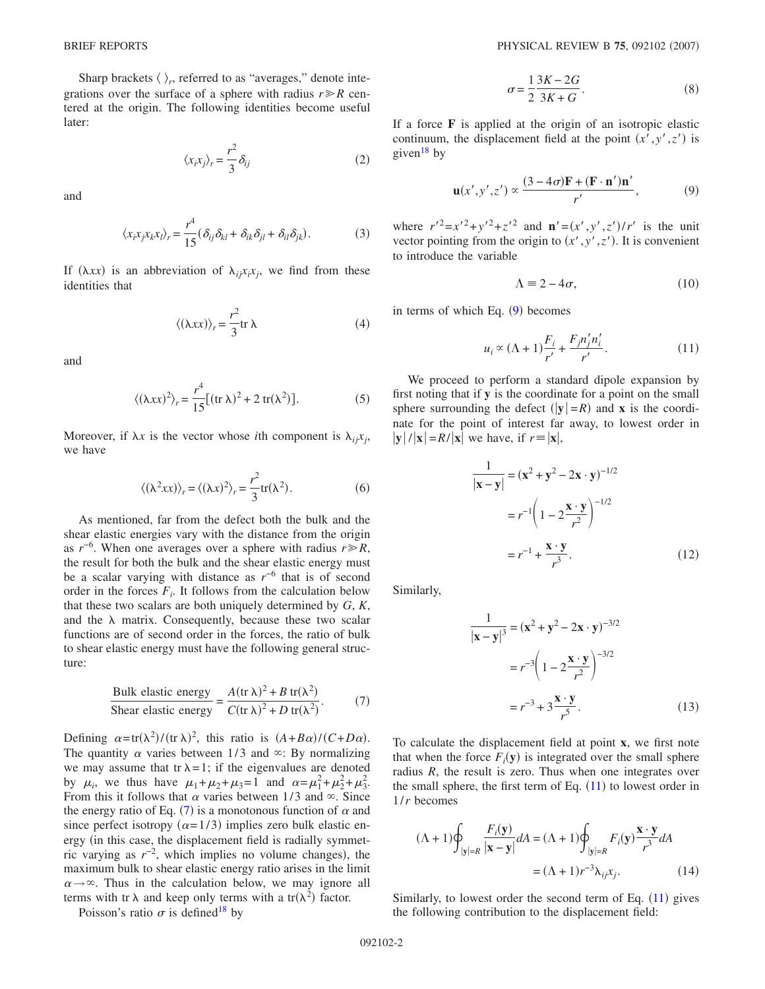Sharp brackets  $\langle \ \rangle_r$ , referred to as "averages," denote integrations over the surface of a sphere with radius  $r \ge R$  centered at the origin. The following identities become useful later:

$$
\langle x_i x_j \rangle_r = \frac{r^2}{3} \delta_{ij} \tag{2}
$$

and

$$
\langle x_i x_j x_k x_l \rangle_r = \frac{r^4}{15} (\delta_{ij} \delta_{kl} + \delta_{ik} \delta_{jl} + \delta_{il} \delta_{jk}). \tag{3}
$$

If  $(\lambda xx)$  is an abbreviation of  $\lambda_{ij}x_ix_j$ , we find from these identities that

$$
\langle (\lambda xx) \rangle_r = \frac{r^2}{3} \text{tr } \lambda \tag{4}
$$

<span id="page-1-3"></span>and

$$
\langle (\lambda xx)^2 \rangle_r = \frac{r^4}{15} \big[ (\text{tr } \lambda)^2 + 2 \text{ tr}(\lambda^2) \big]. \tag{5}
$$

Moreover, if  $\lambda x$  is the vector whose *i*th component is  $\lambda_i x_i$ , we have

$$
\langle (\lambda^2 xx) \rangle_r = \langle (\lambda x)^2 \rangle_r = \frac{r^2}{3} \text{tr}(\lambda^2).
$$
 (6)

As mentioned, far from the defect both the bulk and the shear elastic energies vary with the distance from the origin as  $r^{-6}$ . When one averages over a sphere with radius  $r \ge R$ , the result for both the bulk and the shear elastic energy must be a scalar varying with distance as *r*−6 that is of second order in the forces  $F_i$ . It follows from the calculation below that these two scalars are both uniquely determined by *G*, *K*, and the  $\lambda$  matrix. Consequently, because these two scalar functions are of second order in the forces, the ratio of bulk to shear elastic energy must have the following general structure:

$$
\frac{\text{Bulk elastic energy}}{\text{Shear elastic energy}} = \frac{A(\text{tr }\lambda)^2 + B \text{ tr}(\lambda^2)}{C(\text{tr }\lambda)^2 + D \text{ tr}(\lambda^2)}.
$$
 (7)

<span id="page-1-0"></span>Defining  $\alpha = \text{tr}(\lambda^2) / (\text{tr } \lambda)^2$ , this ratio is  $(A + B\alpha) / (C + D\alpha)$ . The quantity  $\alpha$  varies between 1/3 and  $\infty$ : By normalizing we may assume that tr  $\lambda = 1$ ; if the eigenvalues are denoted by  $\mu_i$ , we thus have  $\mu_1 + \mu_2 + \mu_3 = 1$  and  $\alpha = \mu_1^2 + \mu_2^2 + \mu_3^2$ . From this it follows that  $\alpha$  varies between 1/3 and  $\infty$ . Since the energy ratio of Eq. ([7](#page-1-0)) is a monotonous function of  $\alpha$  and since perfect isotropy ( $\alpha = 1/3$ ) implies zero bulk elastic energy (in this case, the displacement field is radially symmetric varying as  $r^{-2}$ , which implies no volume changes), the maximum bulk to shear elastic energy ratio arises in the limit  $\alpha \rightarrow \infty$ . Thus in the calculation below, we may ignore all terms with tr  $\lambda$  and keep only terms with a tr( $\lambda^2$ ) factor.

Poisson's ratio  $\sigma$  is defined<sup>18</sup> by

$$
\sigma = \frac{1}{2} \frac{3K - 2G}{3K + G}.
$$
\n
$$
(8)
$$

If a force **F** is applied at the origin of an isotropic elastic continuum, the displacement field at the point  $(x', y', z')$  is given<sup>18</sup> by

$$
\mathbf{u}(x',y',z') \propto \frac{(3-4\sigma)\mathbf{F} + (\mathbf{F} \cdot \mathbf{n}')\mathbf{n}'}{r'},\tag{9}
$$

<span id="page-1-1"></span>where  $r'^2 = x'^2 + y'^2 + z'^2$  and  $\mathbf{n}' = (x', y', z')/r'$  is the unit vector pointing from the origin to  $(x', y', z')$ . It is convenient to introduce the variable

$$
\Lambda \equiv 2 - 4\sigma,\tag{10}
$$

<span id="page-1-2"></span>in terms of which Eq. ([9](#page-1-1)) becomes

$$
u_i \propto (\Lambda + 1) \frac{F_i}{r'} + \frac{F_j n'_j n'_i}{r'}.
$$
 (11)

We proceed to perform a standard dipole expansion by first noting that if **y** is the coordinate for a point on the small sphere surrounding the defect  $(|y| = R)$  and **x** is the coordinate for the point of interest far away, to lowest order in  $|\mathbf{y}|/|\mathbf{x}| = R/|\mathbf{x}|$  we have, if  $r \equiv |\mathbf{x}|$ ,

$$
\frac{1}{|\mathbf{x} - \mathbf{y}|} = (\mathbf{x}^2 + \mathbf{y}^2 - 2\mathbf{x} \cdot \mathbf{y})^{-1/2}
$$

$$
= r^{-1} \left( 1 - 2\frac{\mathbf{x} \cdot \mathbf{y}}{r^2} \right)^{-1/2}
$$

$$
= r^{-1} + \frac{\mathbf{x} \cdot \mathbf{y}}{r^3}.
$$
(12)

Similarly,

$$
\frac{1}{|\mathbf{x} - \mathbf{y}|^3} = (\mathbf{x}^2 + \mathbf{y}^2 - 2\mathbf{x} \cdot \mathbf{y})^{-3/2}
$$

$$
= r^{-3} \left( 1 - 2\frac{\mathbf{x} \cdot \mathbf{y}}{r^2} \right)^{-3/2}
$$

$$
= r^{-3} + 3\frac{\mathbf{x} \cdot \mathbf{y}}{r^5}.
$$
(13)

To calculate the displacement field at point **x**, we first note that when the force  $F_i(y)$  is integrated over the small sphere radius *R*, the result is zero. Thus when one integrates over the small sphere, the first term of Eq.  $(11)$  $(11)$  $(11)$  to lowest order in 1/*r* becomes

$$
(\Lambda + 1)\oint_{|y|=R} \frac{F_i(y)}{|x-y|} dA = (\Lambda + 1)\oint_{|y|=R} F_i(y) \frac{x \cdot y}{r^3} dA
$$

$$
= (\Lambda + 1)r^{-3} \lambda_{ij} x_j.
$$
 (14)

Similarly, to lowest order the second term of Eq.  $(11)$  $(11)$  $(11)$  gives the following contribution to the displacement field: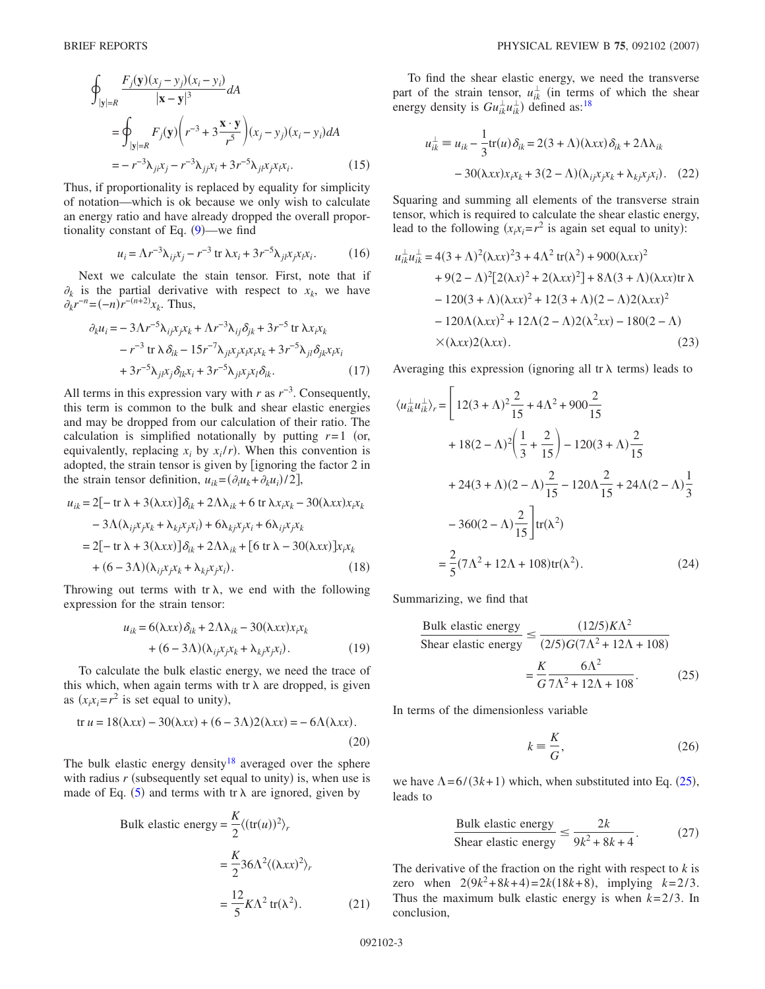$$
\oint_{|\mathbf{y}|=R} \frac{F_j(\mathbf{y})(x_j - y_j)(x_i - y_i)}{|\mathbf{x} - \mathbf{y}|^3} dA
$$
\n
$$
= \oint_{|\mathbf{y}|=R} F_j(\mathbf{y}) \left( r^{-3} + 3 \frac{\mathbf{x} \cdot \mathbf{y}}{r^5} \right) (x_j - y_j)(x_i - y_i) dA
$$
\n
$$
= -r^{-3} \lambda_{ji} x_j - r^{-3} \lambda_{jj} x_i + 3r^{-5} \lambda_{ji} x_j x_i.
$$
\n(15)

Thus, if proportionality is replaced by equality for simplicity of notation—which is ok because we only wish to calculate an energy ratio and have already dropped the overall proportionality constant of Eq.  $(9)$  $(9)$  $(9)$ —we find

$$
u_i = \Lambda r^{-3} \lambda_{ij} x_j - r^{-3} \operatorname{tr} \lambda x_i + 3 r^{-5} \lambda_{ji} x_j x_i.
$$
 (16)

Next we calculate the stain tensor. First, note that if  $\partial_k$  is the partial derivative with respect to  $x_k$ , we have  $\partial_k r^{-n} = (-n) r^{-(n+2)} x_k$ . Thus,

$$
\partial_k u_i = -3\Lambda r^{-5} \lambda_{ij} x_j x_k + \Lambda r^{-3} \lambda_{ij} \delta_{jk} + 3r^{-5} \text{ tr } \lambda x_i x_k \n- r^{-3} \text{ tr } \lambda \delta_{ik} - 15r^{-7} \lambda_{ji} x_j x_i x_i x_k + 3r^{-5} \lambda_{jl} \delta_{jk} x_i x_i \n+ 3r^{-5} \lambda_{jl} x_j \delta_{lk} x_i + 3r^{-5} \lambda_{jl} x_j x_l \delta_{ik}.
$$
\n(17)

All terms in this expression vary with *r* as  $r^{-3}$ . Consequently, this term is common to the bulk and shear elastic energies and may be dropped from our calculation of their ratio. The calculation is simplified notationally by putting  $r=1$  (or, equivalently, replacing  $x_i$  by  $x_i/r$ ). When this convention is adopted, the strain tensor is given by [ignoring the factor 2 in the strain tensor definition,  $u_{ik} = (\partial_i u_k + \partial_k u_i)/2$ ,

$$
u_{ik} = 2[-\operatorname{tr}\lambda + 3(\lambda xx)]\delta_{ik} + 2\Lambda\lambda_{ik} + 6\operatorname{tr}\lambda x_i x_k - 30(\lambda xx)x_i x_k
$$
  
\n
$$
-3\Lambda(\lambda_{ij}x_jx_k + \lambda_{kj}x_jx_i) + 6\lambda_{kj}x_jx_i + 6\lambda_{ij}x_jx_k
$$
  
\n
$$
= 2[-\operatorname{tr}\lambda + 3(\lambda xx)]\delta_{ik} + 2\Lambda\lambda_{ik} + [6\operatorname{tr}\lambda - 30(\lambda xx)]x_ix_k
$$
  
\n
$$
+ (6-3\Lambda)(\lambda_{ij}x_jx_k + \lambda_{kj}x_jx_i).
$$
 (18)

Throwing out terms with tr  $\lambda$ , we end with the following expression for the strain tensor:

$$
u_{ik} = 6(\lambda xx)\delta_{ik} + 2\Lambda\lambda_{ik} - 30(\lambda xx)x_i x_k
$$
  
+ 
$$
(6 - 3\Lambda)(\lambda_{ij}x_j x_k + \lambda_{kj}x_j x_i).
$$
 (19)

To calculate the bulk elastic energy, we need the trace of this which, when again terms with  $tr \lambda$  are dropped, is given as  $(x_i x_i = r^2$  is set equal to unity),

$$
\text{tr } u = 18(\lambda xx) - 30(\lambda xx) + (6 - 3\Lambda)2(\lambda xx) = -6\Lambda(\lambda xx). \tag{20}
$$

The bulk elastic energy density<sup>18</sup> averaged over the sphere with radius  $r$  (subsequently set equal to unity) is, when use is made of Eq. ([5](#page-1-3)) and terms with tr  $\lambda$  are ignored, given by

Bulk elastic energy = 
$$
\frac{K}{2} \langle (\text{tr}(u))^2 \rangle_r
$$
  
\n=  $\frac{K}{2} 36\Lambda^2 \langle (\lambda xx)^2 \rangle_r$   
\n=  $\frac{12}{5} K\Lambda^2 \text{ tr}(\lambda^2)$ . (21)

To find the shear elastic energy, we need the transverse part of the strain tensor,  $u_{ik}^{\perp}$  (in terms of which the shear energy density is  $Gu_{ik}^{\perp}u_{ik}^{\perp}$  defined as:<sup>18</sup>

$$
u_{ik}^{\perp} \equiv u_{ik} - \frac{1}{3} \text{tr}(u) \delta_{ik} = 2(3 + \Lambda)(\lambda xx) \delta_{ik} + 2\Lambda \lambda_{ik}
$$

$$
- 30(\lambda xx) x_i x_k + 3(2 - \Lambda)(\lambda_{ij} x_j x_k + \lambda_{kj} x_j x_i). \quad (22)
$$

Squaring and summing all elements of the transverse strain tensor, which is required to calculate the shear elastic energy, lead to the following  $(x_i x_i = r^2)$  is again set equal to unity):

$$
u_{ik}^{\perp}u_{ik}^{\perp} = 4(3+\Lambda)^{2}(\lambda xx)^{2}3 + 4\Lambda^{2} \text{ tr}(\lambda^{2}) + 900(\lambda xx)^{2}
$$
  
+9(2-\Lambda)^{2}[2(\lambda x)^{2} + 2(\lambda xx)^{2}] + 8\Lambda(3+\Lambda)(\lambda xx)\text{tr }\lambda  
-120(3+\Lambda)(\lambda xx)^{2} + 12(3+\Lambda)(2-\Lambda)2(\lambda xx)^{2}  
-120\Lambda(\lambda xx)^{2} + 12\Lambda(2-\Lambda)2(\lambda^{2}xx) - 180(2-\Lambda)  
×(\lambda xx)2(\lambda xx). (23)

Averaging this expression (ignoring all tr  $\lambda$  terms) leads to

$$
\langle u_{ik}^{\perp} u_{ik}^{\perp} \rangle_r = \left[ 12(3 + \Lambda)^2 \frac{2}{15} + 4\Lambda^2 + 900 \frac{2}{15} + 18(2 - \Lambda)^2 \left( \frac{1}{3} + \frac{2}{15} \right) - 120(3 + \Lambda) \frac{2}{15} + 24(3 + \Lambda)(2 - \Lambda) \frac{2}{15} - 120\Lambda \frac{2}{15} + 24\Lambda(2 - \Lambda) \frac{1}{3} - 360(2 - \Lambda) \frac{2}{15} \right] tr(\lambda^2)
$$
  
=  $\frac{2}{5} (7\Lambda^2 + 12\Lambda + 108) tr(\lambda^2).$  (24)

<span id="page-2-0"></span>Summarizing, we find that

$$
\frac{\text{Bulk elastic energy}}{\text{Shear elastic energy}} \le \frac{(12/5)K\Lambda^2}{(2/5)G(7\Lambda^2 + 12\Lambda + 108)} = \frac{K}{G} \frac{6\Lambda^2}{7\Lambda^2 + 12\Lambda + 108}.\tag{25}
$$

In terms of the dimensionless variable

$$
k \equiv \frac{K}{G},\tag{26}
$$

we have  $\Lambda = 6/(3k+1)$  which, when substituted into Eq. ([25](#page-2-0)), leads to

Bulk elastic energy  
Shear elastic energy 
$$
\leq \frac{2k}{9k^2 + 8k + 4}
$$
. (27)

The derivative of the fraction on the right with respect to *k* is zero when  $2(9k^2+8k+4)=2k(18k+8)$ , implying  $k=2/3$ . Thus the maximum bulk elastic energy is when *k*=2/3. In conclusion,